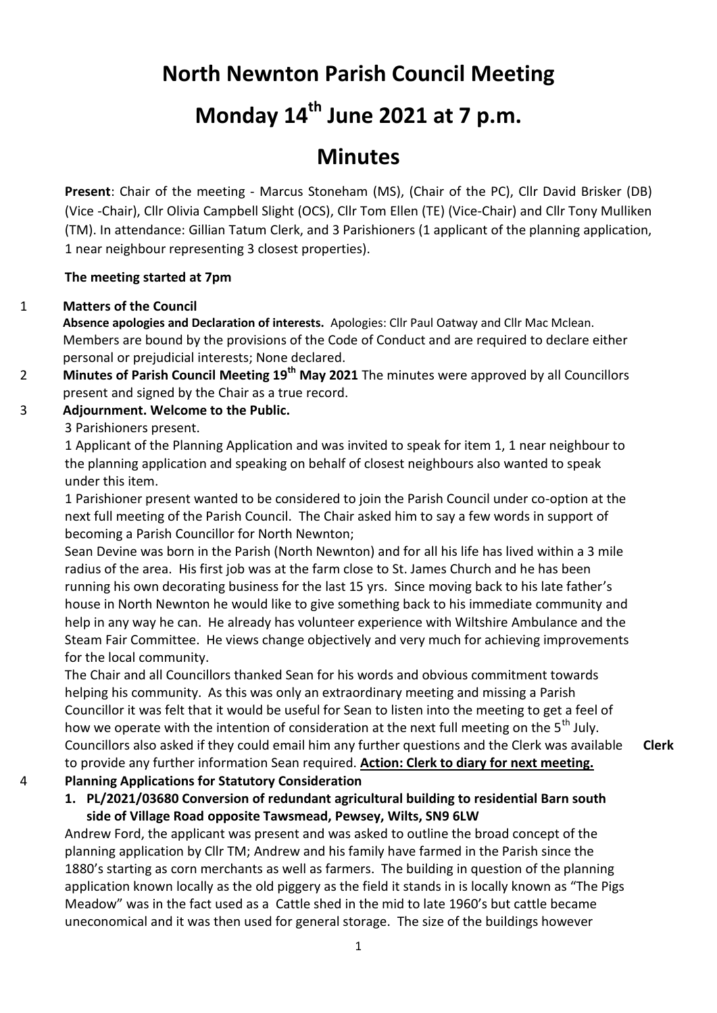## **North Newnton Parish Council Meeting**

# **Monday 14th June 2021 at 7 p.m.**

### **Minutes**

**Present**: Chair of the meeting - Marcus Stoneham (MS), (Chair of the PC), Cllr David Brisker (DB) (Vice -Chair), Cllr Olivia Campbell Slight (OCS), Cllr Tom Ellen (TE) (Vice-Chair) and Cllr Tony Mulliken (TM). In attendance: Gillian Tatum Clerk, and 3 Parishioners (1 applicant of the planning application, 1 near neighbour representing 3 closest properties).

#### **The meeting started at 7pm**

#### 1 **Matters of the Council**

**Absence apologies and Declaration of interests.** Apologies: Cllr Paul Oatway and Cllr Mac Mclean. Members are bound by the provisions of the Code of Conduct and are required to declare either personal or prejudicial interests; None declared.

2 **Minutes of Parish Council Meeting 19th May 2021** The minutes were approved by all Councillors present and signed by the Chair as a true record.

#### 3 **Adjournment. Welcome to the Public.**

3 Parishioners present.

1 Applicant of the Planning Application and was invited to speak for item 1, 1 near neighbour to the planning application and speaking on behalf of closest neighbours also wanted to speak under this item.

1 Parishioner present wanted to be considered to join the Parish Council under co-option at the next full meeting of the Parish Council. The Chair asked him to say a few words in support of becoming a Parish Councillor for North Newnton;

Sean Devine was born in the Parish (North Newnton) and for all his life has lived within a 3 mile radius of the area. His first job was at the farm close to St. James Church and he has been running his own decorating business for the last 15 yrs. Since moving back to his late father's house in North Newnton he would like to give something back to his immediate community and help in any way he can. He already has volunteer experience with Wiltshire Ambulance and the Steam Fair Committee. He views change objectively and very much for achieving improvements for the local community.

The Chair and all Councillors thanked Sean for his words and obvious commitment towards helping his community. As this was only an extraordinary meeting and missing a Parish Councillor it was felt that it would be useful for Sean to listen into the meeting to get a feel of how we operate with the intention of consideration at the next full meeting on the  $5<sup>th</sup>$  July. Councillors also asked if they could email him any further questions and the Clerk was available to provide any further information Sean required. **Action: Clerk to diary for next meeting. Clerk**

#### 4 **Planning Applications for Statutory Consideration**

#### **1. PL/2021/03680 Conversion of redundant agricultural building to residential Barn south side of Village Road opposite Tawsmead, Pewsey, Wilts, SN9 6LW**

Andrew Ford, the applicant was present and was asked to outline the broad concept of the planning application by Cllr TM; Andrew and his family have farmed in the Parish since the 1880's starting as corn merchants as well as farmers. The building in question of the planning application known locally as the old piggery as the field it stands in is locally known as "The Pigs Meadow" was in the fact used as a Cattle shed in the mid to late 1960's but cattle became uneconomical and it was then used for general storage. The size of the buildings however